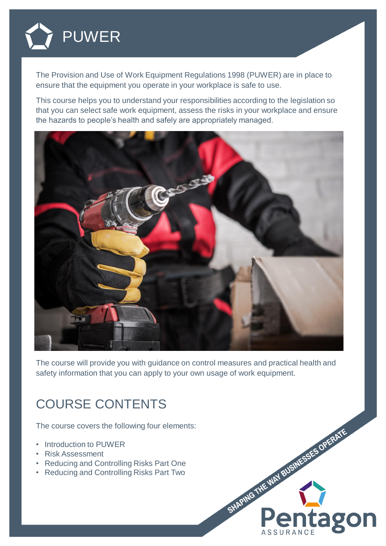

The Provision and Use of Work Equipment Regulations 1998 (PUWER) are in place to ensure that the equipment you operate in your workplace is safe to use.

This course helps you to understand your responsibilities according to the legislation so that you can select safe work equipment, assess the risks in your workplace and ensure the hazards to people's health and safely are appropriately managed.



The course will provide you with guidance on control measures and practical health and safety information that you can apply to your own usage of work equipment.

## COURSE CONTENTS

The course covers the following four elements:

- Introduction to PUWER
- Risk Assessment
- Reducing and Controlling Risks Part One
- Reducing and Controlling Risks Part Two